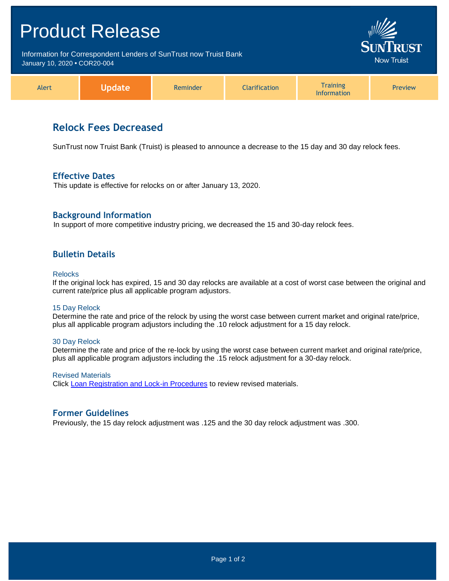| <b>Product Release</b>                                                                            |               |          |                      |                                       |         |
|---------------------------------------------------------------------------------------------------|---------------|----------|----------------------|---------------------------------------|---------|
| Information for Correspondent Lenders of SunTrust now Truist Bank<br>January 10, 2020 . COR20-004 |               |          |                      | <b>SUNTRUST</b><br><b>Now Truist</b>  |         |
| Alert                                                                                             | <b>Update</b> | Reminder | <b>Clarification</b> | <b>Training</b><br><b>Information</b> | Preview |

# **Relock Fees Decreased**

SunTrust now Truist Bank (Truist) is pleased to announce a decrease to the 15 day and 30 day relock fees.

### **Effective Dates**

This update is effective for relocks on or after January 13, 2020.

### **Background Information**

In support of more competitive industry pricing, we decreased the 15 and 30-day relock fees.

### **Bulletin Details**

#### **Relocks**

If the original lock has expired, 15 and 30 day relocks are available at a cost of worst case between the original and current rate/price plus all applicable program adjustors.

#### 15 Day Relock

Determine the rate and price of the relock by using the worst case between current market and original rate/price, plus all applicable program adjustors including the .10 relock adjustment for a 15 day relock.

#### 30 Day Relock

Determine the rate and price of the re-lock by using the worst case between current market and original rate/price, plus all applicable program adjustors including the .15 relock adjustment for a 30-day relock.

Revised Materials Click [Loan Registration and Lock-in Procedures](https://www.truistsellerguide.com/Manual/cor/general/1.03Lockin.pdf) to review revised materials.

### **Former Guidelines**

Previously, the 15 day relock adjustment was .125 and the 30 day relock adjustment was .300.